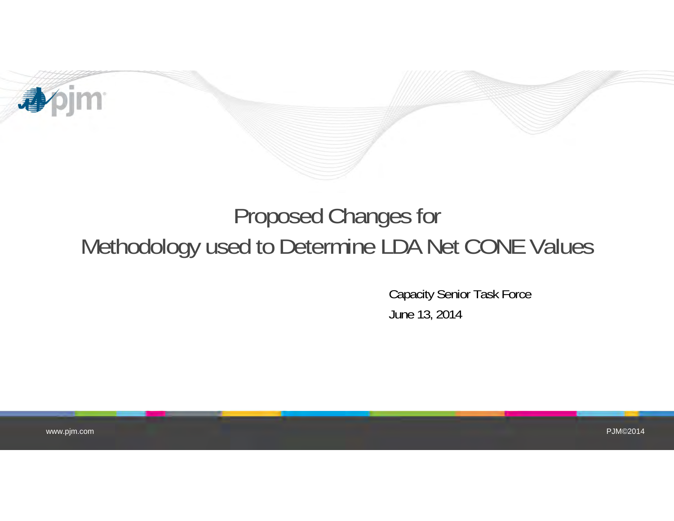

# Proposed Changes for Methodology used to Determine LDA Net CONE Values

Capacity Senior Task Force June 13, 2014

www.pjm.com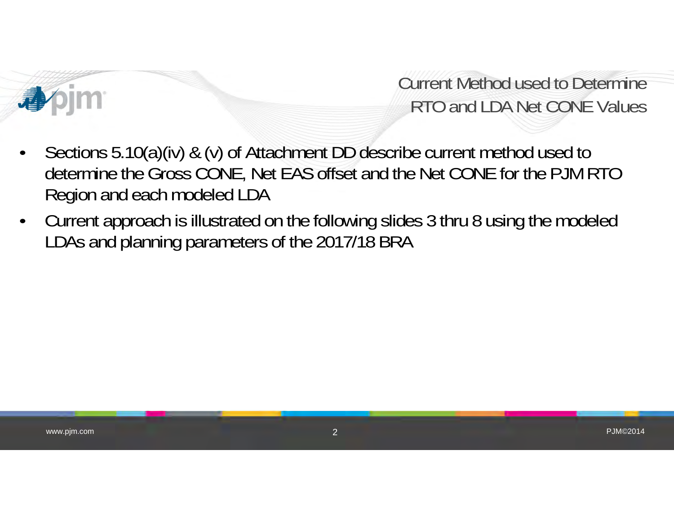

## Current Method used to DetermineRTO and LDA Net CONE Values

- • Sections 5.10(a)(iv) & (v) of Attachment DD describe current method used to determine the Gross CONE, Net EAS offset and the Net CONE for the PJM RTO Region and each modeled LDA
- • Current approach is illustrated on the following slides 3 thru 8 using the modeled LDAs and planning parameters of the 2017/18 BRA

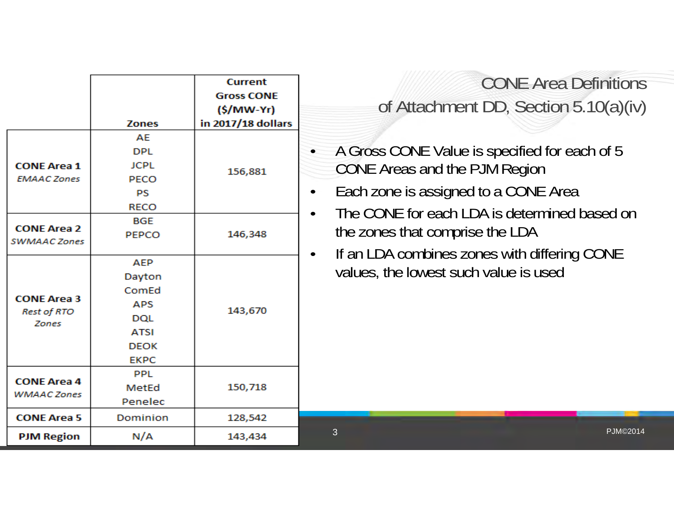|                                                                   | <b>Zones</b>                                                                                           | <b>Current</b><br><b>Gross CONE</b><br>$(S/MW-Yr)$<br>in 2017/18 dollars | <b>CONE Area Definitions</b><br>of Attachment DD, Section $5.10(a)(iv)$                                                                                                                                                             |
|-------------------------------------------------------------------|--------------------------------------------------------------------------------------------------------|--------------------------------------------------------------------------|-------------------------------------------------------------------------------------------------------------------------------------------------------------------------------------------------------------------------------------|
| <b>CONE Area 1</b><br><b>EMAAC Zones</b><br><b>CONE Area 2</b>    | AE<br><b>DPL</b><br><b>JCPL</b><br>PECO<br><b>PS</b><br><b>RECO</b><br><b>BGE</b><br><b>PEPCO</b>      | 156,881<br>146,348                                                       | A Gross CONE Value is specified for each of 5<br>CONE Areas and the PJM Region<br>Each zone is assigned to a CONE Area<br>$\bullet$<br>The CONE for each LDA is determined based on<br>$\bullet$<br>the zones that comprise the LDA |
| SWMAAC Zones<br><b>CONE Area 3</b><br><b>Rest of RTO</b><br>Zones | <b>AEP</b><br>Dayton<br>ComEd<br><b>APS</b><br><b>DOL</b><br><b>ATSI</b><br><b>DEOK</b><br><b>EKPC</b> | 143,670                                                                  | If an LDA combines zones with differing CONE<br>$\bullet$<br>values, the lowest such value is used                                                                                                                                  |
| <b>CONE Area 4</b><br><b>WMAAC Zones</b>                          | <b>PPL</b><br>MetEd<br>Penelec                                                                         | 150,718                                                                  |                                                                                                                                                                                                                                     |
| <b>CONE Area 5</b><br><b>PJM Region</b>                           | Dominion<br>N/A                                                                                        | 128,542<br>143,434                                                       | 3<br><b>PJM©2014</b>                                                                                                                                                                                                                |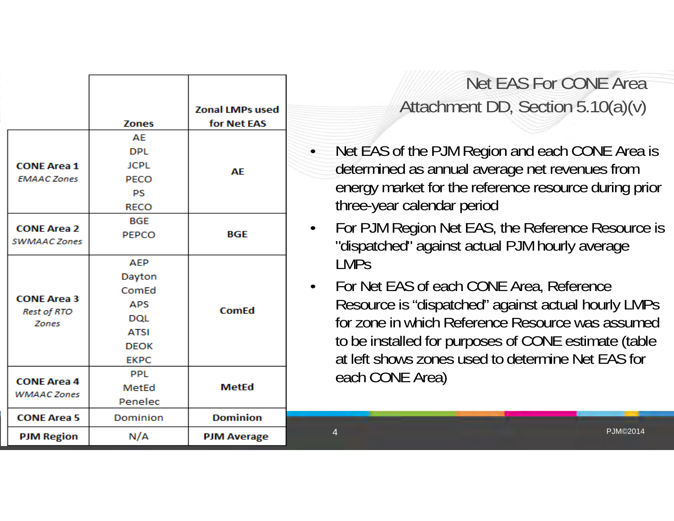|                                    |                                                         | <b>Zonal LMPs used</b> |  |
|------------------------------------|---------------------------------------------------------|------------------------|--|
|                                    | <b>Zones</b>                                            | for Net EAS            |  |
|                                    | AE                                                      |                        |  |
|                                    | <b>DPL</b>                                              |                        |  |
| <b>CONE Area 1</b>                 | <b>JCPL</b>                                             | AE                     |  |
| <b>EMAAC Zones</b>                 | PECO                                                    |                        |  |
|                                    | PS                                                      |                        |  |
|                                    | <b>RECO</b>                                             |                        |  |
|                                    | BGE<br><b>CONE Area 2</b><br><b>BGE</b><br><b>PEPCO</b> |                        |  |
|                                    |                                                         |                        |  |
| SWMAAC Zones                       |                                                         |                        |  |
|                                    | <b>AEP</b>                                              |                        |  |
|                                    | Dayton                                                  |                        |  |
|                                    | ComEd                                                   |                        |  |
| <b>CONE Area 3</b>                 | <b>APS</b>                                              | <b>ComEd</b>           |  |
| <b>Rest of RTO</b><br><b>Zones</b> | <b>DQL</b>                                              |                        |  |
|                                    | <b>ATSI</b>                                             |                        |  |
|                                    | <b>DEOK</b>                                             |                        |  |
|                                    | <b>EKPC</b>                                             |                        |  |
|                                    | <b>PPL</b>                                              |                        |  |
| <b>CONE Area 4</b>                 | MetEd                                                   | <b>MetEd</b>           |  |
| <b>WMAAC Zones</b>                 | Penelec                                                 |                        |  |
| <b>CONE Area 5</b>                 | Dominion                                                | <b>Dominion</b>        |  |
| <b>PJM Region</b>                  | N/A                                                     | <b>PJM Average</b>     |  |

## Net EAS For CONE AreaAttachment DD, Section 5.10(a)(v)

- Net EAS of the PJM Region and each CONE Area is determined as annual average net revenues from energy market for the reference resource during prior three-year calendar period
- • For PJM Region Net EAS, the Reference Resource is "dispatched" against actual PJM hourly average LMPs
- $\bullet$  For Net EAS of each CONE Area, Reference Resource is "dispatched" against actual hourly LMPs for zone in which Reference Resource was assumed to be installed for purposes of CONE estimate (table at left shows zones used to determine Net EAS for each CONE Area)

PJM©2014

4

•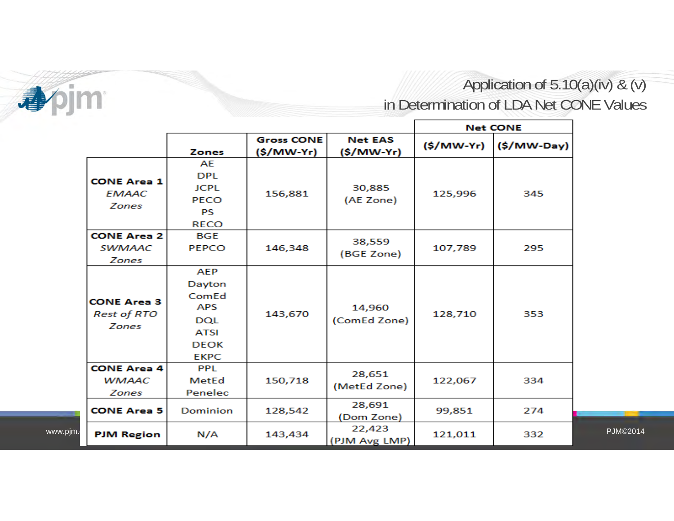

www.pji

Application of 5.10(a)(iv) & (v) in Determination of LDA Net CONE Values

|                                                   |                                                                                          |                                 |                              |            | <b>Net CONE</b> |                 |
|---------------------------------------------------|------------------------------------------------------------------------------------------|---------------------------------|------------------------------|------------|-----------------|-----------------|
|                                                   | Zones                                                                                    | <b>Gross CONE</b><br>(\$/MW-Yr) | <b>Net EAS</b><br>(\$/MW-Yr) | (\$/MW-Yr) | $(S/MW-Day)$    |                 |
| <b>CONE Area 1</b><br><b>EMAAC</b><br>Zones       | AE<br><b>DPL</b><br><b>JCPL</b><br><b>PECO</b><br><b>PS</b><br><b>RECO</b>               | 156,881                         | 30,885<br>(AE Zone)          | 125,996    | 345             |                 |
| <b>CONE Area 2</b><br><b>SWMAAC</b><br>Zones      | <b>BGE</b><br><b>PEPCO</b>                                                               | 146,348                         | 38,559<br>(BGE Zone)         | 107,789    | 295             |                 |
| <b>CONE Area 3</b><br><b>Rest of RTO</b><br>Zones | AEP<br>Dayton<br>ComEd<br>APS<br><b>DQL</b><br><b>ATSI</b><br><b>DEOK</b><br><b>EKPC</b> | 143,670                         | 14,960<br>(ComEd Zone)       | 128,710    | 353             |                 |
| <b>CONE Area 4</b><br><b>WMAAC</b><br>Zones       | <b>PPL</b><br>MetEd<br>Penelec                                                           | 150,718                         | 28,651<br>(MetEd Zone)       | 122,067    | 334             |                 |
| <b>CONE Area 5</b>                                | Dominion                                                                                 | 128,542                         | 28,691<br>(Dom Zone)         | 99,851     | 274             |                 |
| <b>PJM Region</b>                                 | N/A                                                                                      | 143,434                         | 22,423<br>(PJM Avg LMP)      | 121,011    | 332             | <b>PJM©2014</b> |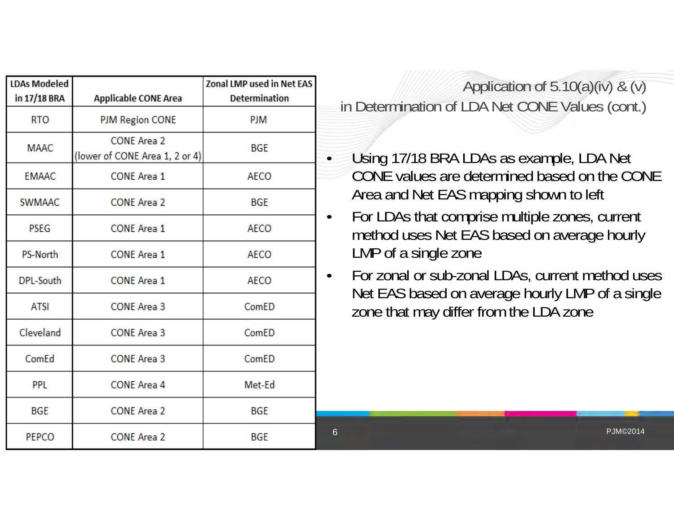| <b>LDAs Modeled</b> |                                                      | <b>Zonal LMP used in Net EAS</b> |
|---------------------|------------------------------------------------------|----------------------------------|
| in 17/18 BRA        | <b>Applicable CONE Area</b>                          | <b>Determination</b>             |
| <b>RTO</b>          | <b>PJM Region CONE</b>                               | <b>PJM</b>                       |
| <b>MAAC</b>         | <b>CONE Area 2</b><br>(lower of CONE Area 1, 2 or 4) | <b>BGE</b>                       |
| <b>EMAAC</b>        | <b>CONE Area 1</b>                                   | <b>AECO</b>                      |
| <b>SWMAAC</b>       | <b>CONE Area 2</b>                                   | <b>BGE</b>                       |
| <b>PSEG</b>         | <b>CONE Area 1</b>                                   | <b>AECO</b>                      |
| <b>PS-North</b>     | <b>CONE Area 1</b>                                   | <b>AECO</b>                      |
| DPL-South           | <b>CONE Area 1</b>                                   | <b>AECO</b>                      |
| <b>ATSI</b>         | <b>CONE Area 3</b>                                   | ComED                            |
| Cleveland           | <b>CONE Area 3</b>                                   | ComED                            |
| ComEd               | <b>CONE Area 3</b>                                   | ComED                            |
| <b>PPL</b>          | <b>CONE Area 4</b>                                   | Met-Ed                           |
| <b>BGE</b>          | <b>CONE Area 2</b>                                   | <b>BGE</b>                       |
| <b>PEPCO</b>        | <b>CONE Area 2</b>                                   | <b>BGE</b>                       |

Application of  $5.10(a)(iv)$  &  $(v)$ in Determination of LDA Net CONE Values (cont.)

 Using 17/18 BRA LDAs as example, LDA Net CONE values are determined based on the CONE Area and Net EAS mapping shown to left

 For LDAs that comprise multiple zones, current method uses Net EAS based on average hourly LMP of a single zone

 For zonal or sub-zonal LDAs, current method uses Net EAS based on average hourly LMP of a single zone that may differ from the LDA zone

 $6$  PJM©2014

6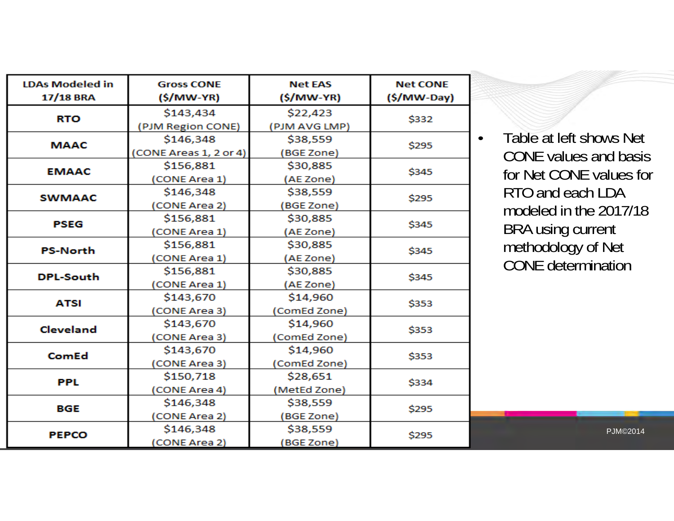| <b>LDAs Modeled in</b><br>17/18 BRA | <b>Gross CONE</b><br>(\$/MW-YR) | <b>Net EAS</b><br>$(S/MW-YR)$ | <b>Net CONE</b><br>$(S/MW$ -Day) |  |
|-------------------------------------|---------------------------------|-------------------------------|----------------------------------|--|
| <b>RTO</b>                          | \$143,434                       | \$22,423                      | \$332                            |  |
|                                     | (PJM Region CONE)               | (PJM AVG LMP)                 |                                  |  |
| <b>MAAC</b>                         | \$146,348                       | \$38,559                      | \$295                            |  |
|                                     | (CONE Areas 1, 2 or 4)          | (BGE Zone)                    |                                  |  |
| <b>EMAAC</b>                        | \$156,881                       | \$30,885                      | \$345                            |  |
|                                     | (CONE Area 1)                   | (AE Zone)                     |                                  |  |
| <b>SWMAAC</b>                       | \$146,348                       | \$38,559<br>\$295             |                                  |  |
|                                     | (CONE Area 2)                   | <b>BGE Zone)</b>              |                                  |  |
| <b>PSEG</b>                         | \$156,881                       | \$30,885<br>\$345             |                                  |  |
|                                     | (CONE Area 1)                   | (AE Zone)                     |                                  |  |
| <b>PS-North</b>                     | \$156,881                       | \$30,885                      | \$345                            |  |
|                                     | (CONE Area 1)                   | (AE Zone)                     |                                  |  |
| <b>DPL-South</b>                    | \$156,881                       | \$30,885                      | \$345                            |  |
|                                     | (CONE Area 1)                   | (AE Zone)                     |                                  |  |
| <b>ATSI</b>                         | \$143,670                       | \$14,960                      | \$353                            |  |
|                                     | (CONE Area 3)                   | (ComEd Zone)                  |                                  |  |
| <b>Cleveland</b>                    | \$143,670                       | \$14,960                      | \$353                            |  |
|                                     | (CONE Area 3)                   | (ComEd Zone)                  |                                  |  |
| ComEd                               | \$143,670                       | \$14,960                      | \$353                            |  |
|                                     | (CONE Area 3)                   | (ComEd Zone)                  |                                  |  |
| <b>PPL</b>                          | \$150,718                       | \$28,651                      | \$334                            |  |
|                                     | (CONE Area 4)                   | (MetEd Zone)                  |                                  |  |
| <b>BGE</b>                          | \$146,348                       | \$38,559                      | \$295                            |  |
|                                     | (CONE Area 2)                   | (BGE Zone)                    |                                  |  |
| <b>PEPCO</b>                        | \$146,348                       | \$38,559                      | \$295                            |  |
|                                     | (CONE Area 2)                   | (BGE Zone)                    |                                  |  |

 Table at left shows Net CONE values and basis for Net CONE values for RTO and each LDA odeled in the 2017/18 RA using current methodology of Net CONE determination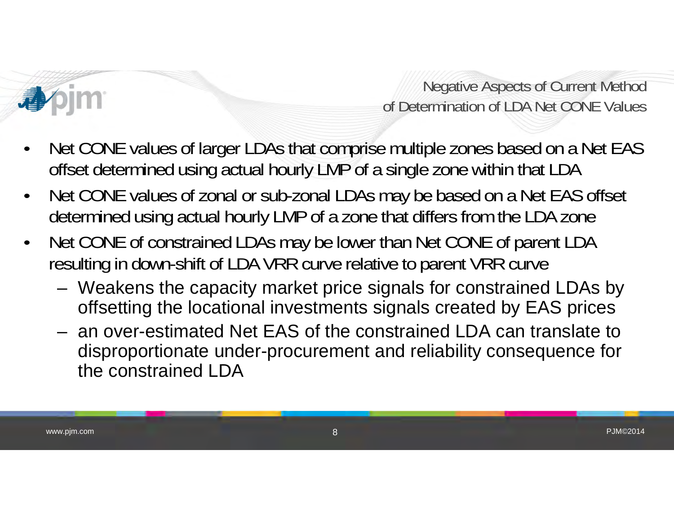

Negative Aspects of Current Method of Determination of LDA Net CONE Values

- • Net CONE values of larger LDAs that comprise multiple zones based on a Net EAS offset determined using actual hourly LMP of a single zone within that LDA
- • Net CONE values of zonal or sub-zonal LDAs may be based on a Net EAS offset determined using actual hourly LMP of a zone that differs from the LDA zone
- • Net CONE of constrained LDAs may be lower than Net CONE of parent LDA resulting in down-shift of LDA VRR curve relative to parent VRR curve
	- – Weakens the capacity market price signals for constrained LDAs by offsetting the locational investments signals created by EAS prices
	- an over-estimated Net EAS of the constrained LDA can translate to disproportionate under-procurement and reliability consequence for the constrained LDA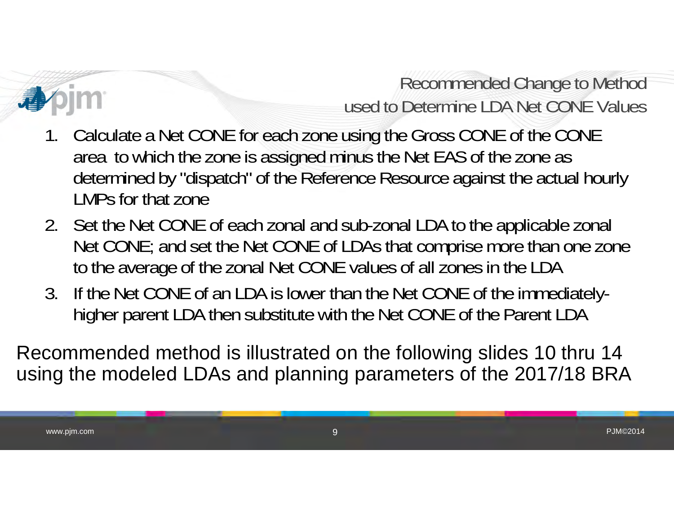

Recommended Change to Method used to Determine LDA Net CONE Values

- 1. Calculate a Net CONE for each zone using the Gross CONE of the CONE area to which the zone is assigned minus the Net EAS of the zone as determined by "dispatch" of the Reference Resource against the actual hourly LMPs for that zone
- 2. Set the Net CONE of each zonal and sub-zonal LDA to the applicable zonal Net CONE; and set the Net CONE of LDAs that comprise more than one zone to the average of the zonal Net CONE values of all zones in the LDA
- 3. If the Net CONE of an LDA is lower than the Net CONE of the immediatelyhigher parent LDA then substitute with the Net CONE of the Parent LDA

Recommended method is illustrated on the following slides 10 thru 14 using the modeled LDAs and planning parameters of the 2017/18 BRA

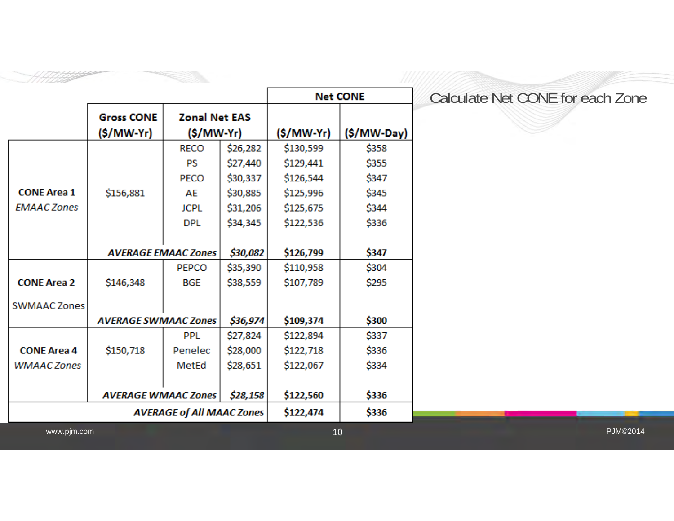|                     |                             |                                  |          |            | <b>Net CONE</b> |
|---------------------|-----------------------------|----------------------------------|----------|------------|-----------------|
|                     | <b>Gross CONE</b>           | <b>Zonal Net EAS</b>             |          |            |                 |
|                     | (\$/MW-Yr)                  | $(S/MW-Yr)$                      |          | (\$/MW-Yr) | $(S/MW$ -Day)   |
|                     |                             | <b>RECO</b>                      | \$26,282 | \$130,599  | \$358           |
|                     |                             | PS                               | \$27,440 | \$129,441  | \$355           |
|                     |                             | PECO                             | \$30,337 | \$126,544  | \$347           |
| <b>CONE Area 1</b>  | \$156,881                   | AE                               | \$30,885 | \$125,996  | \$345           |
| <b>EMAAC Zones</b>  |                             | <b>JCPL</b>                      | \$31,206 | \$125,675  | \$344           |
|                     |                             | <b>DPL</b>                       | \$34,345 | \$122,536  | \$336           |
|                     |                             | <b>AVERAGE EMAAC Zones</b>       | \$30,082 | \$126,799  | \$347           |
|                     |                             | <b>PEPCO</b>                     | \$35,390 | \$110,958  | \$304           |
| <b>CONE Area 2</b>  | \$146,348                   | <b>BGE</b>                       | \$38,559 | \$107,789  | \$295           |
| <b>SWMAAC Zones</b> |                             |                                  |          |            |                 |
|                     | <b>AVERAGE SWMAAC Zones</b> |                                  | \$36,974 | \$109,374  | \$300           |
|                     |                             | <b>PPL</b>                       | \$27,824 | \$122,894  | \$337           |
| <b>CONE Area 4</b>  | \$150,718                   | Penelec                          | \$28,000 | \$122,718  | \$336           |
| <b>WMAAC Zones</b>  |                             | MetEd                            | \$28,651 | \$122,067  | \$334           |
|                     | <b>AVERAGE WMAAC Zones</b>  |                                  | \$28,158 | \$122,560  | \$336           |
|                     |                             | <b>AVERAGE of All MAAC Zones</b> |          | \$122,474  | \$336           |

#### Calculate Net CONE for each Zone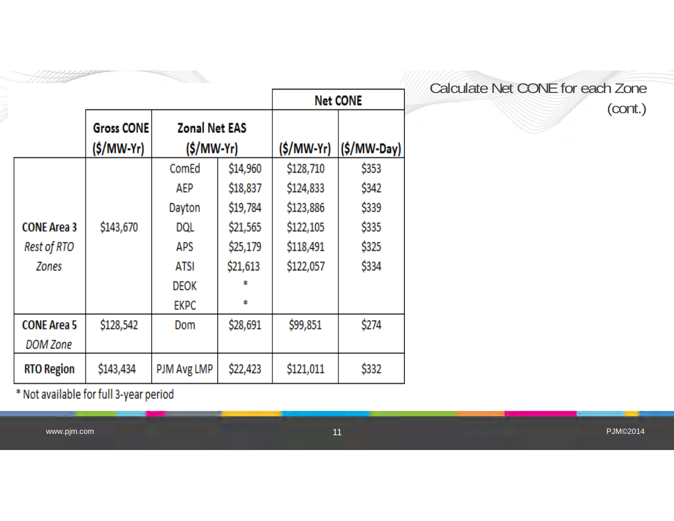|                    |                   |                      |          |             | <b>Net CONE</b> |
|--------------------|-------------------|----------------------|----------|-------------|-----------------|
|                    | <b>Gross CONE</b> | <b>Zonal Net EAS</b> |          |             |                 |
|                    | $(S/MW-Yr)$       | (\$/MW-Yr)           |          | $(S/MW-Yr)$ | (\$/MW-Day)     |
|                    |                   | ComEd                | \$14,960 | \$128,710   | \$353           |
|                    |                   | AEP                  | \$18,837 | \$124,833   | \$342           |
|                    |                   | Dayton               | \$19,784 | \$123,886   | \$339           |
| <b>CONE Area 3</b> | \$143,670         | DQL                  | \$21,565 | \$122,105   | \$335           |
| Rest of RTO        |                   | APS                  | \$25,179 | \$118,491   | \$325           |
| Zones              |                   | ATSI                 | \$21,613 | \$122,057   | \$334           |
|                    |                   | DEOK                 | *        |             |                 |
|                    |                   | <b>EKPC</b>          | *        |             |                 |
| <b>CONE Area 5</b> | \$128,542         | Dom                  | \$28,691 | \$99,851    | \$274           |
| DOM Zone           |                   |                      |          |             |                 |
| <b>RTO Region</b>  | \$143,434         | PJM Avg LMP          | \$22,423 | \$121,011   | \$332           |

 $*$  Not available for full 3-year period

7711112

#### Calculate Net CONE for each Zone (cont.)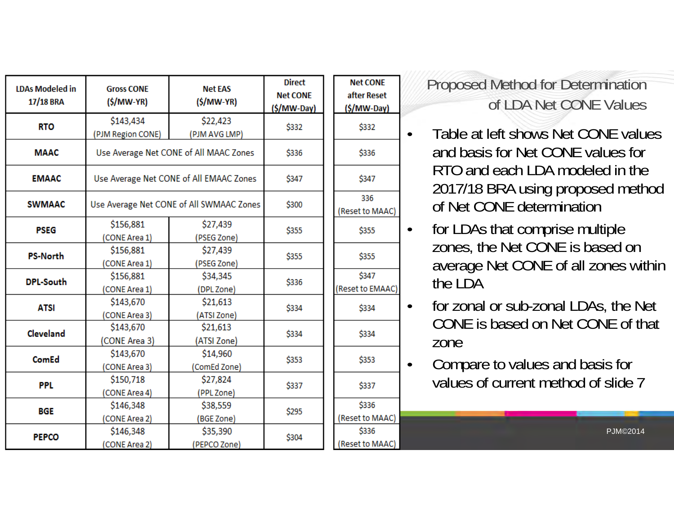| <b>LDAs Modeled in</b><br>17/18 BRA | <b>Gross CONE</b><br>$(S/MW-YR)$ | <b>Net EAS</b><br>$(S/MW-YR)$            | <b>Direct</b><br><b>Net CONE</b><br>$(S/MW$ -Day) | <b>Net CONE</b><br>after Reset<br>$(S/MW$ -Day) | Proposed Method for Determination<br>of LDA Net CONE Values           |
|-------------------------------------|----------------------------------|------------------------------------------|---------------------------------------------------|-------------------------------------------------|-----------------------------------------------------------------------|
| <b>RTO</b>                          | \$143,434<br>(PJM Region CONE)   | \$22,423<br>(PJM AVG LMP)                | \$332                                             | \$332                                           | Table at left shows Net CONE value                                    |
| <b>MAAC</b>                         |                                  | Use Average Net CONE of All MAAC Zones   | \$336                                             | \$336                                           | and basis for Net CONE values for                                     |
| <b>EMAAC</b>                        |                                  | Use Average Net CONE of All EMAAC Zones  | \$347                                             | \$347                                           | RTO and each LDA modeled in the<br>2017/18 BRA using proposed meth    |
| <b>SWMAAC</b>                       |                                  | Use Average Net CONE of All SWMAAC Zones | \$300                                             | 336<br>(Reset to MAAC)                          | of Net CONE determination                                             |
| <b>PSEG</b>                         | \$156,881<br>(CONE Area 1)       | \$27,439<br>(PSEG Zone)                  | \$355                                             | \$355                                           | for LDAs that comprise multiple<br>$\bullet$                          |
| <b>PS-North</b>                     | \$156,881<br>(CONE Area 1)       | \$27,439<br>(PSEG Zone)                  | \$355                                             | \$355                                           | zones, the Net CONE is based on<br>average Net CONE of all zones with |
| <b>DPL-South</b>                    | \$156,881<br>(CONE Area 1)       | \$34,345<br>(DPL Zone)                   | \$336                                             | \$347<br>(Reset to EMAAC)                       | the LDA                                                               |
| <b>ATSI</b>                         | \$143,670<br>(CONE Area 3)       | \$21,613<br>(ATSI Zone)                  | \$334                                             | \$334                                           | for zonal or sub-zonal LDAs, the N<br>$\bullet$                       |
| Cleveland                           | \$143,670<br>(CONE Area 3)       | \$21,613<br>(ATSI Zone)                  | \$334                                             | \$334                                           | CONE is based on Net CONE of the<br>zone                              |
| ComEd                               | \$143,670<br>(CONE Area 3)       | \$14,960<br>(ComEd Zone)                 | \$353                                             | \$353                                           | Compare to values and basis for<br>$\bullet$                          |
| <b>PPL</b>                          | \$150,718<br>(CONE Area 4)       | \$27,824<br>(PPL Zone)                   | \$337                                             | \$337                                           | values of current method of slide 7                                   |
| <b>BGE</b>                          | \$146,348<br>(CONE Area 2)       | \$38,559<br>(BGE Zone)                   | \$295                                             | \$336<br>(Reset to MAAC)                        |                                                                       |
| <b>PEPCO</b>                        | \$146,348<br>(CONE Area 2)       | \$35,390<br>(PEPCO Zone)                 | \$304                                             | \$336<br>(Reset to MAAC)                        | <b>PJM©2014</b>                                                       |

 Table at left shows Net CONE values and basis for Net CONE values for RTO and each LDA modeled in the 2017/18 BRA using proposed method of Net CONE determination

- for LDAs that comprise multiple zones, the Net CONE is based on average Net CONE of all zones within the LDA
- for zonal or sub-zonal LDAs, the Net CONE is based on Net CONE of that zone
- Compare to values and basis for values of current method of slide 7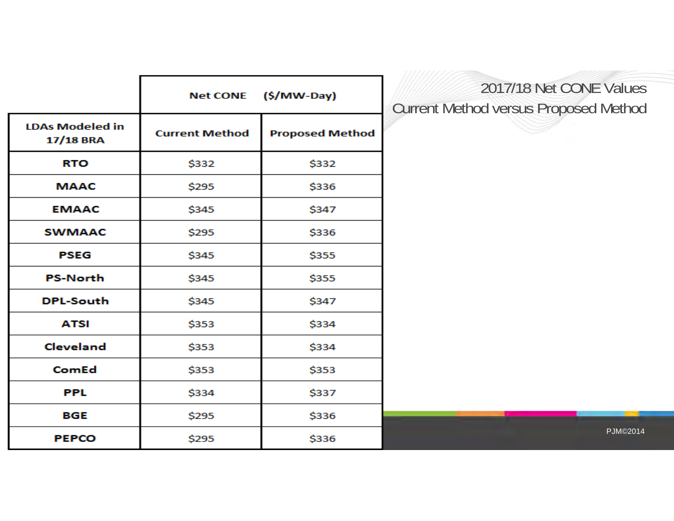|                                     |                       | Net CONE (\$/MW-Day)   |
|-------------------------------------|-----------------------|------------------------|
| <b>LDAs Modeled in</b><br>17/18 BRA | <b>Current Method</b> | <b>Proposed Method</b> |
| <b>RTO</b>                          | \$332                 | \$332                  |
| <b>MAAC</b>                         | \$295                 | \$336                  |
| <b>EMAAC</b>                        | \$345                 | \$347                  |
| <b>SWMAAC</b>                       | \$295                 | \$336                  |
| <b>PSEG</b>                         | \$345                 | \$355                  |
| <b>PS-North</b>                     | \$345                 | \$355                  |
| <b>DPL-South</b>                    | \$345                 | \$347                  |
| <b>ATSI</b>                         | \$353                 | \$334                  |
| <b>Cleveland</b>                    | \$353                 | \$334                  |
| ComEd                               | \$353                 | \$353                  |
| <b>PPL</b>                          | \$334                 | \$337                  |
| <b>BGE</b>                          | \$295                 | \$336                  |
| <b>PEPCO</b>                        | \$295                 | \$336                  |

### 2017/18 Net CONE Values Current Method versus Proposed Method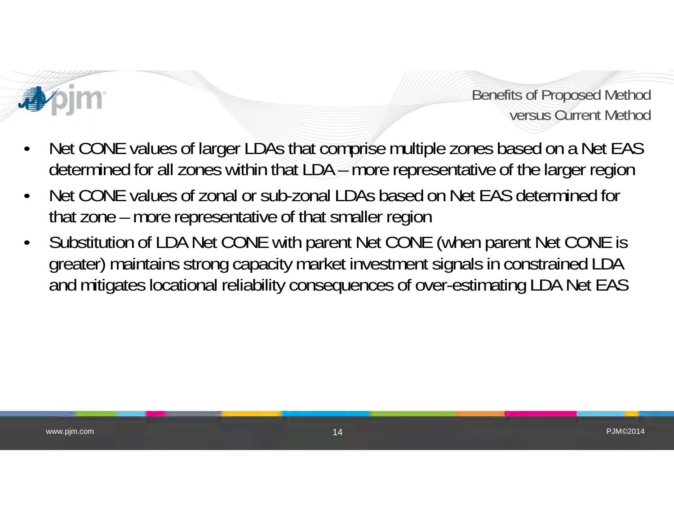

Benefits of Proposed Method versus Current Method

- • Net CONE values of larger LDAs that comprise multiple zones based on a Net EAS determined for all zones within that LDA – more representative of the larger region
- • Net CONE values of zonal or sub-zonal LDAs based on Net EAS determined for that zone – more representative of that smaller region
- • Substitution of LDA Net CONE with parent Net CONE (when parent Net CONE is greater) maintains strong capacity market investment signals in constrained LDA and mitigates locational reliability consequences of over-estimating LDA Net EAS

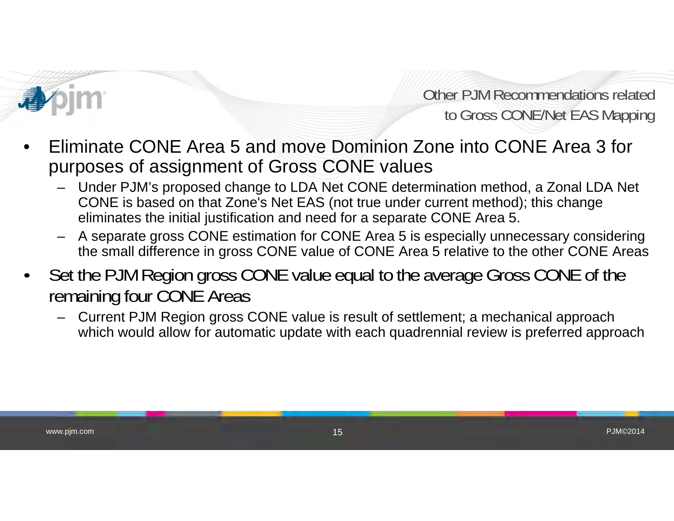

Other PJM Recommendations relatedto Gross CONE/Net EAS Mapping

- • Eliminate CONE Area 5 and move Dominion Zone into CONE Area 3 for purposes of assignment of Gross CONE values
	- Under PJM's proposed change to LDA Net CONE determination method, a Zonal LDA Net CONE is based on that Zone's Net EAS (not true under current method); this change eliminates the initial justification and need for a separate CONE Area 5.
	- – A separate gross CONE estimation for CONE Area 5 is especially unnecessary considering the small difference in gross CONE value of CONE Area 5 relative to the other CONE Areas
- • Set the PJM Region gross CONE value equal to the average Gross CONE of the remaining four CONE Areas
	- – Current PJM Region gross CONE value is result of settlement; a mechanical approach which would allow for automatic update with each quadrennial review is preferred approach

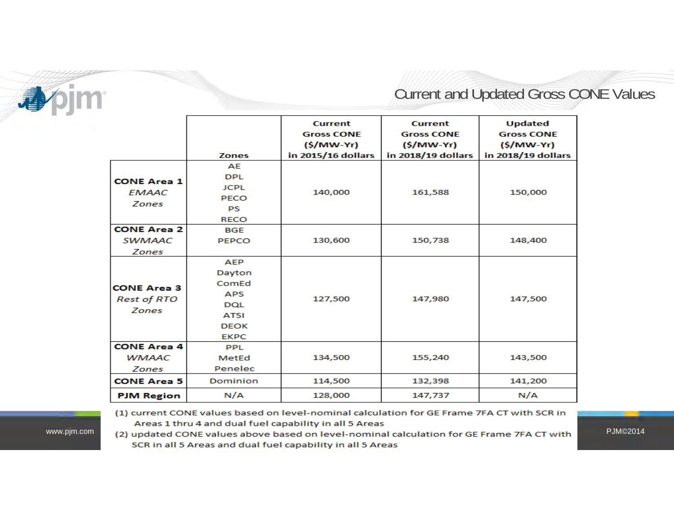

### Current and Updated Gross CONE Values

|                                                          | <b>Zones</b>                                                                                           | <b>Current</b><br><b>Gross CONE</b><br>$(S/MW-Yr)$<br>in 2015/16 dollars | <b>Current</b><br><b>Gross CONE</b><br>$(S/MW-Yr)$<br>in 2018/19 dollars | <b>Updated</b><br><b>Gross CONE</b><br>$(S/MW-Yr)$<br>in 2018/19 dollars |
|----------------------------------------------------------|--------------------------------------------------------------------------------------------------------|--------------------------------------------------------------------------|--------------------------------------------------------------------------|--------------------------------------------------------------------------|
| <b>CONE Area 1</b><br>EMAAC<br>Zones                     | AE<br><b>DPL</b><br><b>JCPL</b><br><b>PECO</b><br><b>PS</b><br><b>RECO</b>                             | 140,000                                                                  | 161,588                                                                  | 150,000                                                                  |
| <b>CONE Area 2</b><br><b>SWMAAC</b><br>Zones             | <b>BGE</b><br><b>PEPCO</b>                                                                             | 130,600                                                                  | 150,738                                                                  | 148,400                                                                  |
| <b>CONE Area 3</b><br><b>Rest of RTO</b><br><b>Zones</b> | <b>AEP</b><br>Dayton<br>ComEd<br><b>APS</b><br><b>DQL</b><br><b>ATSI</b><br><b>DEOK</b><br><b>EKPC</b> | 127,500                                                                  | 147,980                                                                  | 147,500                                                                  |
| <b>CONE Area 4</b><br><b>WMAAC</b><br>Zones              | <b>PPL</b><br>MetEd<br>Penelec                                                                         | 134,500                                                                  | 155,240                                                                  | 143,500                                                                  |
| <b>CONE Area 5</b>                                       | Dominion                                                                                               | 114,500                                                                  | 132,398                                                                  | 141,200                                                                  |
| <b>PJM Region</b>                                        | N/A                                                                                                    | 128,000                                                                  | 147,737                                                                  | N/A                                                                      |

www.pjm.com

(1) current CONE values based on level-nominal calculation for GE Frame 7FA CT with SCR in Areas 1 thru 4 and dual fuel capability in all 5 Areas

rel-nominal calculation for GE Frame 7FA CT with PJM©2014 SCR in all 5 Areas and dual fuel capability in all 5 Areas